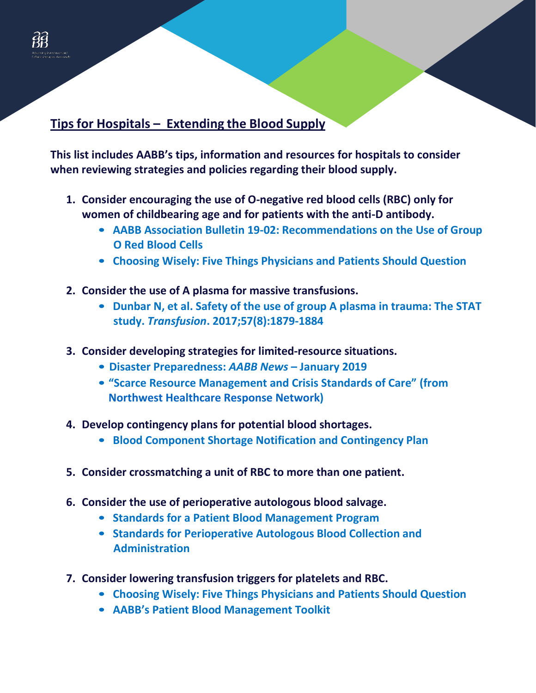## **Tips for Hospitals – Extending the Blood Supply**

**This list includes AABB's tips, information and resources for hospitals to consider when reviewing strategies and policies regarding their blood supply.**

- **1. Consider encouraging the use of O-negative red blood cells (RBC) only for women of childbearing age and for patients with the anti-D antibody.**
	- **AABB Association Bulletin 19-02: [Recommendations on the Use of](http://www.aabb.org/programs/publications/bulletins/Documents/ab19-02.pdf) Group O [Red Blood Cells](http://www.aabb.org/programs/publications/bulletins/Documents/ab19-02.pdf)**
	- **Choosing Wisely: [Five Things Physicians and Patients Should Question](http://www.aabb.org/pbm/Documents/Choosing-Wisely-Five-Things-Physicians-and-Patients-Should-Question.pdf)**
- **2. Consider the use of A plasma for massive transfusions.**
	- **[Dunbar N,](https://onlinelibrary.wiley.com/doi/full/10.1111/trf.14139) et al. Safety of the use of group A plasma in trauma: The STAT study.** *Transfusion***. 2017;57(8):1879-1884**
- **3. Consider developing strategies for limited-resource situations.** 
	- **Disaster Preparedness:** *AABB News* **– [January 2019](http://www.aabb.org/programs/publications/news/2019/Docs/news1901.pdf)**
	- **["Scarce Resource Management and Crisis Standards of Care"](https://nwhrn.org/wp-content/uploads/2020/02/Scarce-Resource-Management-and-Crisis-Standards-of-Care-Overview-and-Materials-1.pdf) (from [Northwest Healthcare Response Network\)](https://nwhrn.org/)**
- **4. Develop contingency plans for potential blood shortages.**
	- **Blood Component Shortage [Notification and Contingency](http://www.aabb.org/advocacy/regulatorygovernment/Documents/Example-Blood-Component-Shortage-Notification-and-Contingency-Plan-for-Hospital.pdf) Plan**
- **5. Consider crossmatching a unit of RBC to more than one patient.**
- **6. Consider the use of perioperative autologous blood salvage.**
	- **Standards for a [Patient Blood Management Program](https://marketplace.aabb.org/ebusiness/Marketplace/Standards-for-a-Patient-Blood-Management-Program-2nd-Edition--Print/ProductDetail/13431445)**
	- **Standards [for Perioperative Autologous](https://marketplace.aabb.org/ebusiness/marketplace/productdetails.aspx?productid=13936915) Blood Collection and [Administration](https://marketplace.aabb.org/ebusiness/marketplace/productdetails.aspx?productid=13936915)**
- **7. Consider lowering transfusion triggers for platelets and RBC.**
	- **Choosing Wisely: [Five Things Physicians and Patients Should Question](http://www.aabb.org/pbm/Documents/Choosing-Wisely-Five-Things-Physicians-and-Patients-Should-Question.pdf)**
	- **AABB's [Patient Blood Management Toolkit](http://www.aabb.org/pbm/Pages/pbm-resources.aspx)**